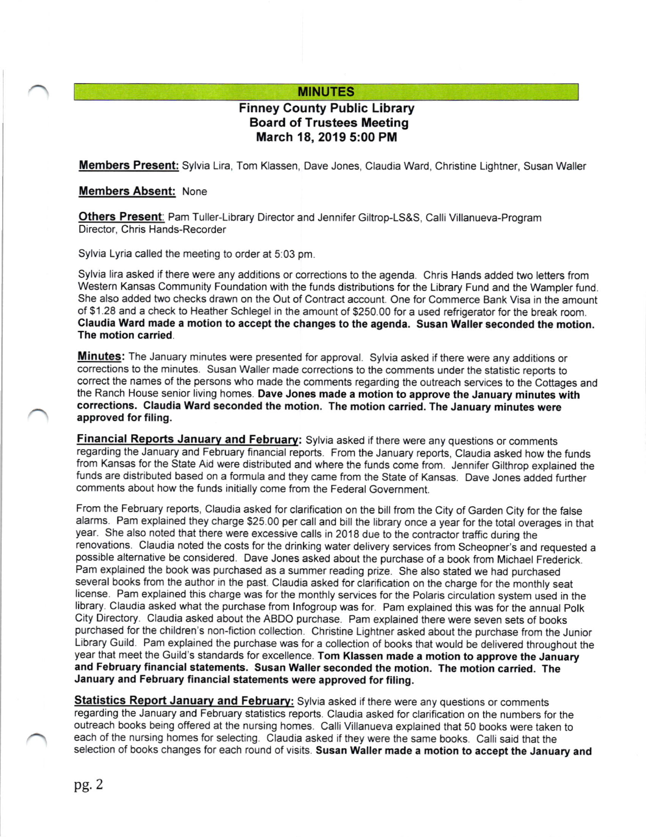## **MINUTES**

# Finney County Public Library Board of Trustees Meeting March 18, 2019 5:00 PM

Members Present: Sylvia Lira, Tom Klassen, Dave Jones, Claudia Ward, Christine Lightner, Susan Waller

### Members Absent: None

Others Present: Pam Tuller-Library Director and Jennifer Giltrop-LS&S, Calli Villanueva-Program Director, Chris Hands-Recorder

Sylvia Lyria called the meeting to order at 5:03 pm.

Sylvia lira asked if there were any additions or corrections to the agenda. Chris Hands added two letters from Western Kansas Community Foundation with the funds distributions for the Library Fund and the Wampler fund. She also added two checks drawn on the Out of Contract account. One for Commerce Bank Visa in the amount of \$1.28 and a check to Heather Schlegel in the amount of \$250.00 for a used refrigerator for the break room. Claudia Ward made a motion to accept the changes to the agenda. Susan Waller seconded the motion. The motion carried.

Minutes: The January minutes were presented for approval. Sylvia asked if there were any additions or corrections to the minutes. Susan Waller made corrections to the comments under the statistic reports to correct the names of the persons who made the comments regarding the outreach services to the Cottages and the Ranch House senior living homes. Dave Jones made a motion to approve the January minutes with corrections. Claudia Ward seconded the motion. The motion carried. The January minutes were approved for filing.

Financial Reports January and February: Sylvia asked if there were any questions or comments regarding the January and February financial reports. From the January reports, Claudia asked how the funds from Kansas for the State Aid were distributed and where the funds come from. Jennifer Gilthrop explained the funds are distributed based on a formula and they came from the State of Kansas. Dave Jones added further comments about how the funds initially come from the Federal Government.

From the February reports, Claudia asked for clarification on the bill from the City of Garden City for the false alarms. Pam explained they charge \$25.00 per call and bill the library once a year for the total overages in that year. She also noted that there were excessive calls in 2018 due to the contractor traffic during the renovations. Claudia noted the costs for the drinking water delivery services from Scheopner's and requested a possible alternative be considered. Dave Jones asked about the purchase of a book from Michael Frederick. Pam explained the book was purchased as a summer reading prize. She also stated we had purchased several books from the author in the past. Claudia asked for clarification on the charge for the monthly seat license. Pam explained this charge was for the monthly services for the Polaris circulation system used in the library. Claudia asked what the purchase from lnfogroup was for. Pam explained this was for the annual polk City Directory. Claudia asked about the ABDO purchase. Pam explained there were seven sets of books purchased for the children's non-fiction collection. Christine Lightner asked about the purchase from the Junior Library Guild. Pam explained the purchase was for a collection of books that would be delivered throughout the year that meet the Guild's standards for excellence. Tom Klassen made a motion to approve the January and February financial statements. Susan Waller seconded the motion. The motion carried. The January and February financial statements were approved for filing.

Statistics Report January and February: Sylvia asked if there were any questions or comments regarding the January and February statistics reports. Claudia asked for clarification on the numbers for the outreach books being offered at the nursing homes. Calli Villanueva explained that 50 books were taken to each of the nursing homes for selecting. Claudia asked if they were the same books. Calli said that the selection of books changes for each round of visits. Susan Waller made a motion to accept the January and